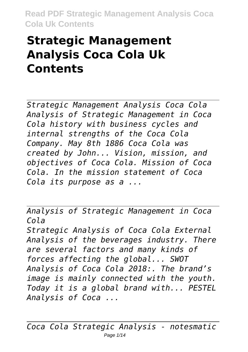## **Strategic Management Analysis Coca Cola Uk Contents**

*Strategic Management Analysis Coca Cola Analysis of Strategic Management in Coca Cola history with business cycles and internal strengths of the Coca Cola Company. May 8th 1886 Coca Cola was created by John... Vision, mission, and objectives of Coca Cola. Mission of Coca Cola. In the mission statement of Coca Cola its purpose as a ...*

*Analysis of Strategic Management in Coca Cola Strategic Analysis of Coca Cola External Analysis of the beverages industry. There are several factors and many kinds of forces affecting the global... SWOT Analysis of Coca Cola 2018:. The brand's image is mainly connected with the youth. Today it is a global brand with... PESTEL Analysis of Coca ...*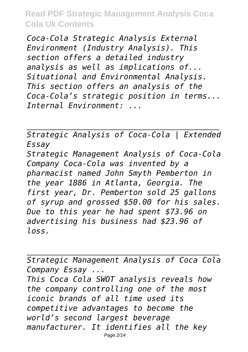*Coca-Cola Strategic Analysis External Environment (Industry Analysis). This section offers a detailed industry analysis as well as implications of... Situational and Environmental Analysis. This section offers an analysis of the Coca-Cola's strategic position in terms... Internal Environment: ...*

*Strategic Analysis of Coca-Cola | Extended Essay Strategic Management Analysis of Coca-Cola Company Coca-Cola was invented by a pharmacist named John Smyth Pemberton in the year 1886 in Atlanta, Georgia. The first year, Dr. Pemberton sold 25 gallons of syrup and grossed \$50.00 for his sales. Due to this year he had spent \$73.96 on advertising his business had \$23.96 of loss.*

*Strategic Management Analysis of Coca Cola Company Essay ...*

*This Coca Cola SWOT analysis reveals how the company controlling one of the most iconic brands of all time used its competitive advantages to become the world's second largest beverage manufacturer. It identifies all the key* Page 2/14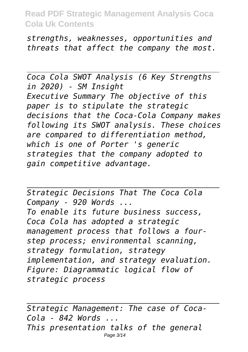*strengths, weaknesses, opportunities and threats that affect the company the most.*

*Coca Cola SWOT Analysis (6 Key Strengths in 2020) - SM Insight Executive Summary The objective of this paper is to stipulate the strategic decisions that the Coca-Cola Company makes following its SWOT analysis. These choices are compared to differentiation method, which is one of Porter 's generic strategies that the company adopted to gain competitive advantage.*

*Strategic Decisions That The Coca Cola Company - 920 Words ... To enable its future business success, Coca Cola has adopted a strategic management process that follows a fourstep process; environmental scanning, strategy formulation, strategy implementation, and strategy evaluation. Figure: Diagrammatic logical flow of strategic process*

*Strategic Management: The case of Coca-Cola - 842 Words ... This presentation talks of the general* Page 3/14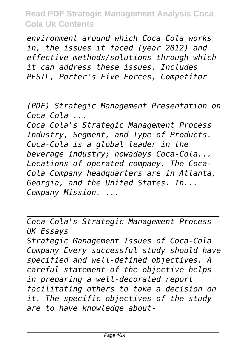*environment around which Coca Cola works in, the issues it faced (year 2012) and effective methods/solutions through which it can address these issues. Includes PESTL, Porter's Five Forces, Competitor*

*(PDF) Strategic Management Presentation on Coca Cola ...*

*Coca Cola's Strategic Management Process Industry, Segment, and Type of Products. Coca-Cola is a global leader in the beverage industry; nowadays Coca-Cola... Locations of operated company. The Coca-Cola Company headquarters are in Atlanta, Georgia, and the United States. In... Company Mission. ...*

*Coca Cola's Strategic Management Process - UK Essays Strategic Management Issues of Coca-Cola Company Every successful study should have specified and well-defined objectives. A careful statement of the objective helps in preparing a well-decorated report facilitating others to take a decision on it. The specific objectives of the study are to have knowledge about-*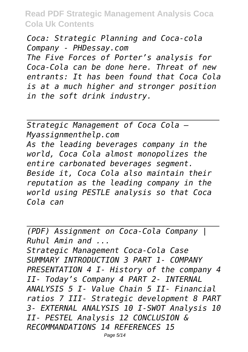*Coca: Strategic Planning and Coca-cola Company - PHDessay.com*

*The Five Forces of Porter's analysis for Coca-Cola can be done here. Threat of new entrants: It has been found that Coca Cola is at a much higher and stronger position in the soft drink industry.*

*Strategic Management of Coca Cola – Myassignmenthelp.com As the leading beverages company in the world, Coca Cola almost monopolizes the entire carbonated beverages segment. Beside it, Coca Cola also maintain their reputation as the leading company in the world using PESTLE analysis so that Coca Cola can*

*(PDF) Assignment on Coca-Cola Company | Ruhul Amin and ... Strategic Management Coca-Cola Case SUMMARY INTRODUCTION 3 PART 1- COMPANY PRESENTATION 4 I- History of the company 4 II- Today's Company 4 PART 2- INTERNAL ANALYSIS 5 I- Value Chain 5 II- Financial ratios 7 III- Strategic development 8 PART 3- EXTERNAL ANALYSIS 10 I-SWOT Analysis 10 II- PESTEL Analysis 12 CONCLUSION & RECOMMANDATIONS 14 REFERENCES 15*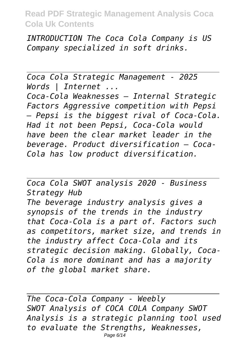*INTRODUCTION The Coca Cola Company is US Company specialized in soft drinks.*

*Coca Cola Strategic Management - 2025 Words | Internet ... Coca-Cola Weaknesses – Internal Strategic Factors Aggressive competition with Pepsi – Pepsi is the biggest rival of Coca-Cola. Had it not been Pepsi, Coca-Cola would have been the clear market leader in the beverage. Product diversification – Coca-Cola has low product diversification.*

*Coca Cola SWOT analysis 2020 - Business Strategy Hub The beverage industry analysis gives a synopsis of the trends in the industry that Coca-Cola is a part of. Factors such as competitors, market size, and trends in the industry affect Coca-Cola and its strategic decision making. Globally, Coca-Cola is more dominant and has a majority of the global market share.*

*The Coca-Cola Company - Weebly SWOT Analysis of COCA COLA Company SWOT Analysis is a strategic planning tool used to evaluate the Strengths, Weaknesses,* Page 6/14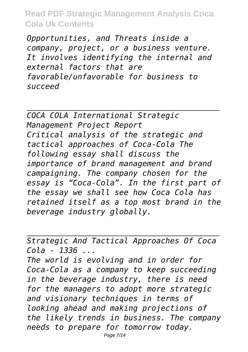*Opportunities, and Threats inside a company, project, or a business venture. It involves identifying the internal and external factors that are favorable/unfavorable for business to succeed*

*COCA COLA International Strategic Management Project Report Critical analysis of the strategic and tactical approaches of Coca-Cola The following essay shall discuss the importance of brand management and brand campaigning. The company chosen for the essay is "Coca-Cola". In the first part of the essay we shall see how Coca Cola has retained itself as a top most brand in the beverage industry globally.*

*Strategic And Tactical Approaches Of Coca Cola - 1336 ... The world is evolving and in order for Coca-Cola as a company to keep succeeding in the beverage industry, there is need for the managers to adopt more strategic and visionary techniques in terms of looking ahead and making projections of the likely trends in business. The company needs to prepare for tomorrow today.*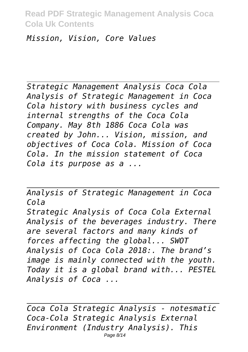*Mission, Vision, Core Values*

*Strategic Management Analysis Coca Cola Analysis of Strategic Management in Coca Cola history with business cycles and internal strengths of the Coca Cola Company. May 8th 1886 Coca Cola was created by John... Vision, mission, and objectives of Coca Cola. Mission of Coca Cola. In the mission statement of Coca Cola its purpose as a ...*

*Analysis of Strategic Management in Coca Cola Strategic Analysis of Coca Cola External Analysis of the beverages industry. There are several factors and many kinds of forces affecting the global... SWOT Analysis of Coca Cola 2018:. The brand's image is mainly connected with the youth. Today it is a global brand with... PESTEL Analysis of Coca ...*

*Coca Cola Strategic Analysis - notesmatic Coca-Cola Strategic Analysis External Environment (Industry Analysis). This* Page 8/14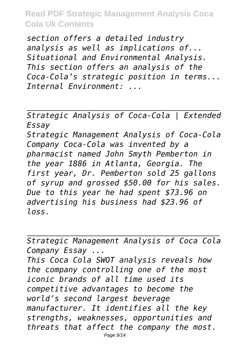*section offers a detailed industry analysis as well as implications of... Situational and Environmental Analysis. This section offers an analysis of the Coca-Cola's strategic position in terms... Internal Environment: ...*

*Strategic Analysis of Coca-Cola | Extended Essay Strategic Management Analysis of Coca-Cola Company Coca-Cola was invented by a pharmacist named John Smyth Pemberton in the year 1886 in Atlanta, Georgia. The first year, Dr. Pemberton sold 25 gallons of syrup and grossed \$50.00 for his sales. Due to this year he had spent \$73.96 on advertising his business had \$23.96 of loss.*

*Strategic Management Analysis of Coca Cola Company Essay ... This Coca Cola SWOT analysis reveals how the company controlling one of the most iconic brands of all time used its competitive advantages to become the world's second largest beverage manufacturer. It identifies all the key strengths, weaknesses, opportunities and threats that affect the company the most.* Page 9/14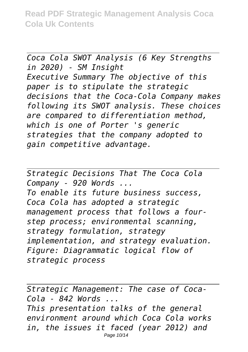*Coca Cola SWOT Analysis (6 Key Strengths in 2020) - SM Insight Executive Summary The objective of this paper is to stipulate the strategic decisions that the Coca-Cola Company makes following its SWOT analysis. These choices are compared to differentiation method, which is one of Porter 's generic strategies that the company adopted to gain competitive advantage.*

*Strategic Decisions That The Coca Cola Company - 920 Words ... To enable its future business success, Coca Cola has adopted a strategic management process that follows a fourstep process; environmental scanning, strategy formulation, strategy implementation, and strategy evaluation. Figure: Diagrammatic logical flow of strategic process*

*Strategic Management: The case of Coca-Cola - 842 Words ... This presentation talks of the general environment around which Coca Cola works in, the issues it faced (year 2012) and* Page 10/14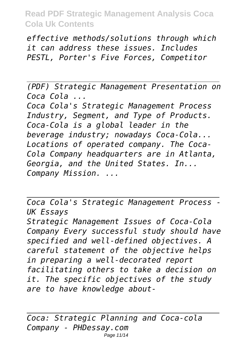*effective methods/solutions through which it can address these issues. Includes PESTL, Porter's Five Forces, Competitor*

*(PDF) Strategic Management Presentation on Coca Cola ...*

*Coca Cola's Strategic Management Process Industry, Segment, and Type of Products. Coca-Cola is a global leader in the beverage industry; nowadays Coca-Cola... Locations of operated company. The Coca-Cola Company headquarters are in Atlanta, Georgia, and the United States. In... Company Mission. ...*

*Coca Cola's Strategic Management Process - UK Essays*

*Strategic Management Issues of Coca-Cola Company Every successful study should have specified and well-defined objectives. A careful statement of the objective helps in preparing a well-decorated report facilitating others to take a decision on it. The specific objectives of the study are to have knowledge about-*

*Coca: Strategic Planning and Coca-cola Company - PHDessay.com* Page 11/14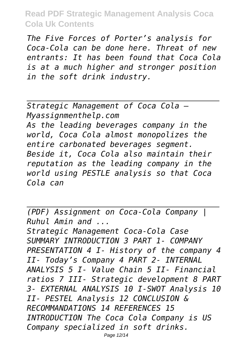*The Five Forces of Porter's analysis for Coca-Cola can be done here. Threat of new entrants: It has been found that Coca Cola is at a much higher and stronger position in the soft drink industry.*

*Strategic Management of Coca Cola – Myassignmenthelp.com As the leading beverages company in the world, Coca Cola almost monopolizes the entire carbonated beverages segment. Beside it, Coca Cola also maintain their reputation as the leading company in the world using PESTLE analysis so that Coca Cola can*

*(PDF) Assignment on Coca-Cola Company | Ruhul Amin and ...*

*Strategic Management Coca-Cola Case SUMMARY INTRODUCTION 3 PART 1- COMPANY PRESENTATION 4 I- History of the company 4 II- Today's Company 4 PART 2- INTERNAL ANALYSIS 5 I- Value Chain 5 II- Financial ratios 7 III- Strategic development 8 PART 3- EXTERNAL ANALYSIS 10 I-SWOT Analysis 10 II- PESTEL Analysis 12 CONCLUSION & RECOMMANDATIONS 14 REFERENCES 15 INTRODUCTION The Coca Cola Company is US Company specialized in soft drinks.*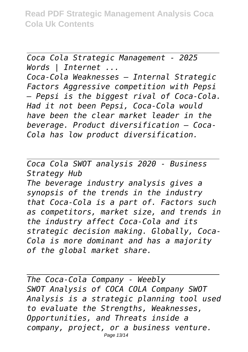*Coca Cola Strategic Management - 2025 Words | Internet ... Coca-Cola Weaknesses – Internal Strategic Factors Aggressive competition with Pepsi – Pepsi is the biggest rival of Coca-Cola. Had it not been Pepsi, Coca-Cola would have been the clear market leader in the beverage. Product diversification – Coca-Cola has low product diversification.*

*Coca Cola SWOT analysis 2020 - Business Strategy Hub*

*The beverage industry analysis gives a synopsis of the trends in the industry that Coca-Cola is a part of. Factors such as competitors, market size, and trends in the industry affect Coca-Cola and its strategic decision making. Globally, Coca-Cola is more dominant and has a majority of the global market share.*

*The Coca-Cola Company - Weebly SWOT Analysis of COCA COLA Company SWOT Analysis is a strategic planning tool used to evaluate the Strengths, Weaknesses, Opportunities, and Threats inside a company, project, or a business venture.* Page 13/14